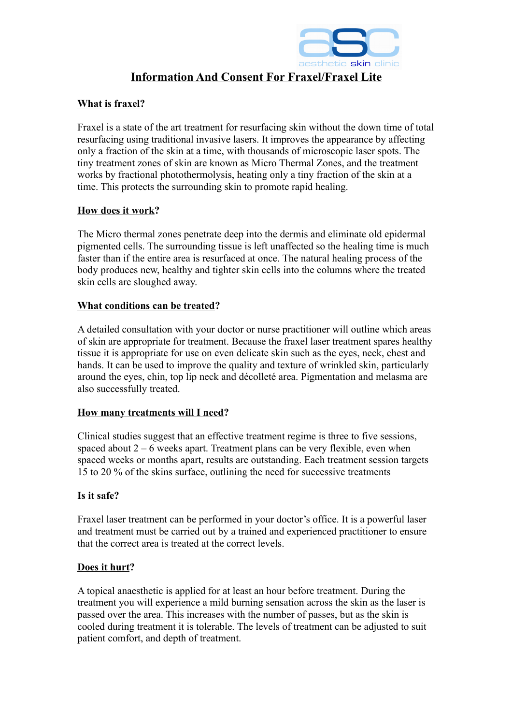

# **Information And Consent For Fraxel/Fraxel Lite**

## **What is fraxel?**

Fraxel is a state of the art treatment for resurfacing skin without the down time of total resurfacing using traditional invasive lasers. It improves the appearance by affecting only a fraction of the skin at a time, with thousands of microscopic laser spots. The tiny treatment zones of skin are known as Micro Thermal Zones, and the treatment works by fractional photothermolysis, heating only a tiny fraction of the skin at a time. This protects the surrounding skin to promote rapid healing.

#### **How does it work?**

The Micro thermal zones penetrate deep into the dermis and eliminate old epidermal pigmented cells. The surrounding tissue is left unaffected so the healing time is much faster than if the entire area is resurfaced at once. The natural healing process of the body produces new, healthy and tighter skin cells into the columns where the treated skin cells are sloughed away.

## **What conditions can be treated?**

A detailed consultation with your doctor or nurse practitioner will outline which areas of skin are appropriate for treatment. Because the fraxel laser treatment spares healthy tissue it is appropriate for use on even delicate skin such as the eyes, neck, chest and hands. It can be used to improve the quality and texture of wrinkled skin, particularly around the eyes, chin, top lip neck and décolleté area. Pigmentation and melasma are also successfully treated.

## **How many treatments will I need?**

Clinical studies suggest that an effective treatment regime is three to five sessions, spaced about  $2 - 6$  weeks apart. Treatment plans can be very flexible, even when spaced weeks or months apart, results are outstanding. Each treatment session targets 15 to 20 % of the skins surface, outlining the need for successive treatments

## **Is it safe?**

Fraxel laser treatment can be performed in your doctor's office. It is a powerful laser and treatment must be carried out by a trained and experienced practitioner to ensure that the correct area is treated at the correct levels.

## **Does it hurt?**

A topical anaesthetic is applied for at least an hour before treatment. During the treatment you will experience a mild burning sensation across the skin as the laser is passed over the area. This increases with the number of passes, but as the skin is cooled during treatment it is tolerable. The levels of treatment can be adjusted to suit patient comfort, and depth of treatment.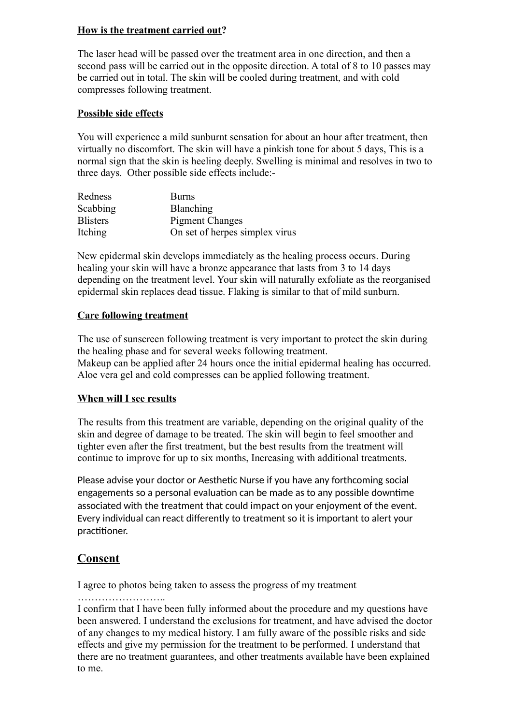## **How is the treatment carried out?**

The laser head will be passed over the treatment area in one direction, and then a second pass will be carried out in the opposite direction. A total of 8 to 10 passes may be carried out in total. The skin will be cooled during treatment, and with cold compresses following treatment.

## **Possible side effects**

You will experience a mild sunburnt sensation for about an hour after treatment, then virtually no discomfort. The skin will have a pinkish tone for about 5 days, This is a normal sign that the skin is heeling deeply. Swelling is minimal and resolves in two to three days. Other possible side effects include:-

| Redness         | Burns                          |
|-----------------|--------------------------------|
| Scabbing        | Blanching                      |
| <b>Blisters</b> | <b>Pigment Changes</b>         |
| Itching         | On set of herpes simplex virus |

New epidermal skin develops immediately as the healing process occurs. During healing your skin will have a bronze appearance that lasts from 3 to 14 days depending on the treatment level. Your skin will naturally exfoliate as the reorganised epidermal skin replaces dead tissue. Flaking is similar to that of mild sunburn.

## **Care following treatment**

The use of sunscreen following treatment is very important to protect the skin during the healing phase and for several weeks following treatment. Makeup can be applied after 24 hours once the initial epidermal healing has occurred. Aloe vera gel and cold compresses can be applied following treatment.

#### **When will I see results**

The results from this treatment are variable, depending on the original quality of the skin and degree of damage to be treated. The skin will begin to feel smoother and tighter even after the first treatment, but the best results from the treatment will continue to improve for up to six months, Increasing with additional treatments.

Please advise your doctor or Aesthetic Nurse if you have any forthcoming social engagements so a personal evaluation can be made as to any possible downtime associated with the treatment that could impact on your enjoyment of the event. Every individual can react differently to treatment so it is important to alert your practitioner.

# **Consent**

I agree to photos being taken to assess the progress of my treatment

……………………..

I confirm that I have been fully informed about the procedure and my questions have been answered. I understand the exclusions for treatment, and have advised the doctor of any changes to my medical history. I am fully aware of the possible risks and side effects and give my permission for the treatment to be performed. I understand that there are no treatment guarantees, and other treatments available have been explained to me.